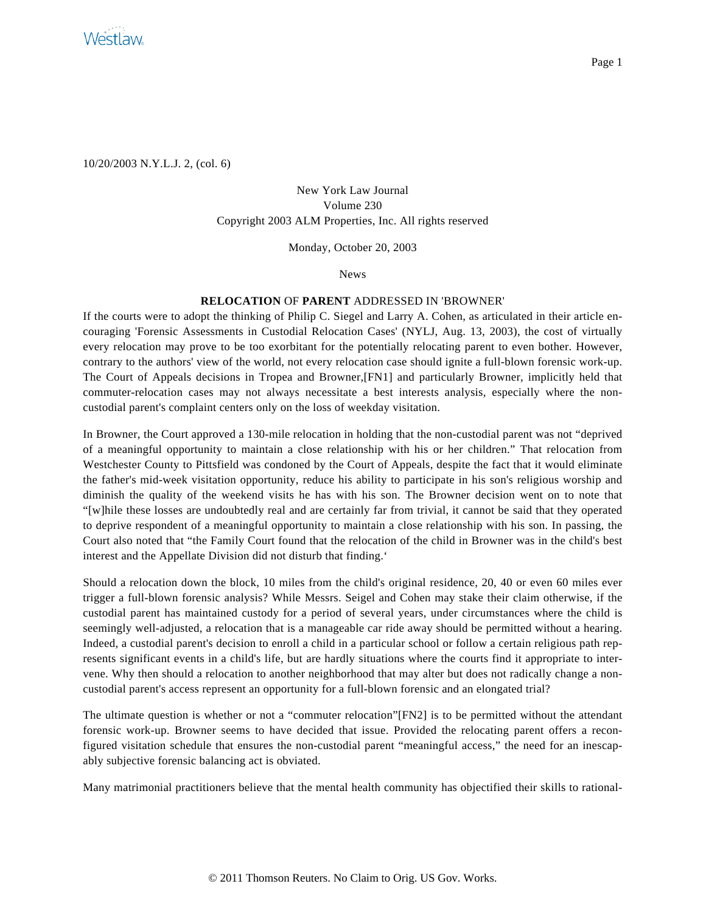

10/20/2003 N.Y.L.J. 2, (col. 6)

New York Law Journal Volume 230 Copyright 2003 ALM Properties, Inc. All rights reserved

Monday, October 20, 2003

News

## **RELOCATION** OF **PARENT** ADDRESSED IN 'BROWNER'

If the courts were to adopt the thinking of Philip C. Siegel and Larry A. Cohen, as articulated in their article encouraging 'Forensic Assessments in Custodial Relocation Cases' (NYLJ, Aug. 13, 2003), the cost of virtually every relocation may prove to be too exorbitant for the potentially relocating parent to even bother. However, contrary to the authors' view of the world, not every relocation case should ignite a full-blown forensic work-up. The Court of Appeals decisions in Tropea and Browner,[FN1] and particularly Browner, implicitly held that commuter-relocation cases may not always necessitate a best interests analysis, especially where the noncustodial parent's complaint centers only on the loss of weekday visitation.

In Browner, the Court approved a 130-mile relocation in holding that the non-custodial parent was not "deprived of a meaningful opportunity to maintain a close relationship with his or her children." That relocation from Westchester County to Pittsfield was condoned by the Court of Appeals, despite the fact that it would eliminate the father's mid-week visitation opportunity, reduce his ability to participate in his son's religious worship and diminish the quality of the weekend visits he has with his son. The Browner decision went on to note that "[w]hile these losses are undoubtedly real and are certainly far from trivial, it cannot be said that they operated to deprive respondent of a meaningful opportunity to maintain a close relationship with his son. In passing, the Court also noted that "the Family Court found that the relocation of the child in Browner was in the child's best interest and the Appellate Division did not disturb that finding.'

Should a relocation down the block, 10 miles from the child's original residence, 20, 40 or even 60 miles ever trigger a full-blown forensic analysis? While Messrs. Seigel and Cohen may stake their claim otherwise, if the custodial parent has maintained custody for a period of several years, under circumstances where the child is seemingly well-adjusted, a relocation that is a manageable car ride away should be permitted without a hearing. Indeed, a custodial parent's decision to enroll a child in a particular school or follow a certain religious path represents significant events in a child's life, but are hardly situations where the courts find it appropriate to intervene. Why then should a relocation to another neighborhood that may alter but does not radically change a noncustodial parent's access represent an opportunity for a full-blown forensic and an elongated trial?

The ultimate question is whether or not a "commuter relocation"[FN2] is to be permitted without the attendant forensic work-up. Browner seems to have decided that issue. Provided the relocating parent offers a reconfigured visitation schedule that ensures the non-custodial parent "meaningful access," the need for an inescapably subjective forensic balancing act is obviated.

Many matrimonial practitioners believe that the mental health community has objectified their skills to rational-